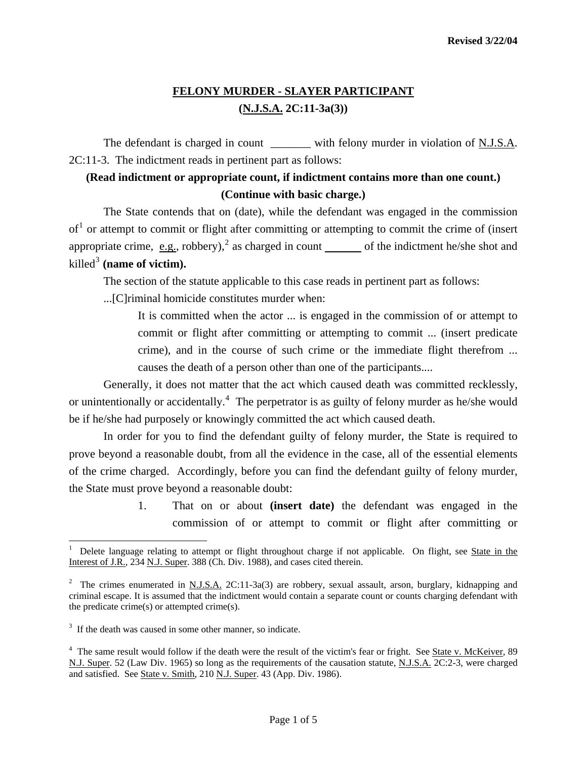## **FELONY MURDER - SLAYER PARTICIPANT (N.J.S.A. 2C:11-3a(3))**

The defendant is charged in count with felony murder in violation of N.J.S.A. 2C:11-3. The indictment reads in pertinent part as follows:

## **(Read indictment or appropriate count, if indictment contains more than one count.) (Continue with basic charge.)**

 The State contends that on (date), while the defendant was engaged in the commission  $of<sup>1</sup>$  $of<sup>1</sup>$  $of<sup>1</sup>$  or attempt to commit or flight after committing or attempting to commit the crime of (insert appropriate crime, e.g., robbery),<sup>[2](#page-0-1)</sup> as charged in count  $\qquad$  of the indictment he/she shot and  $killed<sup>3</sup>$  $killed<sup>3</sup>$  $killed<sup>3</sup>$  (name of victim).

The section of the statute applicable to this case reads in pertinent part as follows:

...[C]riminal homicide constitutes murder when:

 It is committed when the actor ... is engaged in the commission of or attempt to commit or flight after committing or attempting to commit ... (insert predicate crime), and in the course of such crime or the immediate flight therefrom ... causes the death of a person other than one of the participants....

 Generally, it does not matter that the act which caused death was committed recklessly, or unintentionally or accidentally.<sup>[4](#page-0-3)</sup> The perpetrator is as guilty of felony murder as he/she would be if he/she had purposely or knowingly committed the act which caused death.

 In order for you to find the defendant guilty of felony murder, the State is required to prove beyond a reasonable doubt, from all the evidence in the case, all of the essential elements of the crime charged. Accordingly, before you can find the defendant guilty of felony murder, the State must prove beyond a reasonable doubt:

> 1. That on or about **(insert date)** the defendant was engaged in the commission of or attempt to commit or flight after committing or

<span id="page-0-4"></span>l

<span id="page-0-0"></span><sup>1</sup> Delete language relating to attempt or flight throughout charge if not applicable. On flight, see State in the Interest of J.R., 234 N.J. Super. 388 (Ch. Div. 1988), and cases cited therein.

<span id="page-0-1"></span><sup>&</sup>lt;sup>2</sup> The crimes enumerated in <u>N.J.S.A.</u> 2C:11-3a(3) are robbery, sexual assault, arson, burglary, kidnapping and criminal escape. It is assumed that the indictment would contain a separate count or counts charging defendant with the predicate crime(s) or attempted crime(s).

<span id="page-0-2"></span><sup>&</sup>lt;sup>3</sup> If the death was caused in some other manner, so indicate.

<span id="page-0-3"></span><sup>&</sup>lt;sup>4</sup> The same result would follow if the death were the result of the victim's fear or fright. See State v. McKeiver, 89 N.J. Super. 52 (Law Div. 1965) so long as the requirements of the causation statute, N.J.S.A. 2C:2-3, were charged and satisfied. See State v. Smith, 210 N.J. Super. 43 (App. Div. 1986).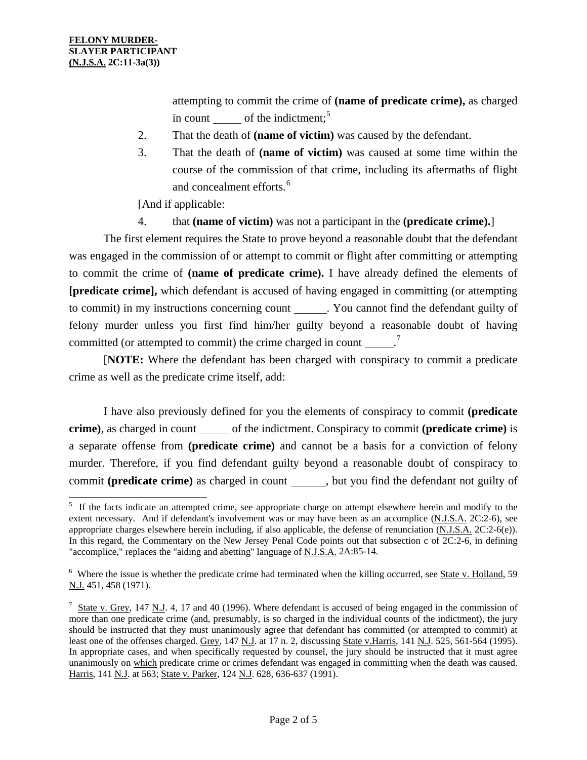$\overline{a}$ 

attempting to commit the crime of **(name of predicate crime),** as charged in count of the indictment; $<sup>5</sup>$  $<sup>5</sup>$  $<sup>5</sup>$ </sup>

- 2. That the death of **(name of victim)** was caused by the defendant.
- 3. That the death of **(name of victim)** was caused at some time within the course of the commission of that crime, including its aftermaths of flight and concealment efforts.<sup>[6](#page-1-0)</sup>

[And if applicable:

4. that **(name of victim)** was not a participant in the **(predicate crime).**]

 The first element requires the State to prove beyond a reasonable doubt that the defendant was engaged in the commission of or attempt to commit or flight after committing or attempting to commit the crime of **(name of predicate crime).** I have already defined the elements of **[predicate crime],** which defendant is accused of having engaged in committing (or attempting to commit) in my instructions concerning count \_\_\_\_\_\_. You cannot find the defendant guilty of felony murder unless you first find him/her guilty beyond a reasonable doubt of having committed (or attempted to commit) the crime charged in count  $\frac{1}{2}$ 

 [**NOTE:** Where the defendant has been charged with conspiracy to commit a predicate crime as well as the predicate crime itself, add:

 I have also previously defined for you the elements of conspiracy to commit **(predicate crime**), as charged in count of the indictment. Conspiracy to commit (**predicate crime**) is a separate offense from **(predicate crime)** and cannot be a basis for a conviction of felony murder. Therefore, if you find defendant guilty beyond a reasonable doubt of conspiracy to commit **(predicate crime)** as charged in count , but you find the defendant not guilty of

<sup>&</sup>lt;sup>5</sup> If the facts indicate an attempted crime, see appropriate charge on attempt elsewhere herein and modify to the extent necessary. And if defendant's involvement was or may have been as an accomplice (N.J.S.A. 2C:2-6), see appropriate charges elsewhere herein including, if also applicable, the defense of renunciation (N.J.S.A. 2C:2-6(e)). In this regard, the Commentary on the New Jersey Penal Code points out that subsection c of 2C:2-6, in defining "accomplice," replaces the "aiding and abetting" language of N.J.S.A. 2A:85-14.

<span id="page-1-0"></span><sup>&</sup>lt;sup>6</sup> Where the issue is whether the predicate crime had terminated when the killing occurred, see State v. Holland, 59 N.J. 451, 458 (1971).

<span id="page-1-2"></span><span id="page-1-1"></span> $\frac{7}{1}$  State v. Grey, 147 N.J. 4, 17 and 40 (1996). Where defendant is accused of being engaged in the commission of more than one predicate crime (and, presumably, is so charged in the individual counts of the indictment), the jury should be instructed that they must unanimously agree that defendant has committed (or attempted to commit) at least one of the offenses charged. Grey, 147 N.J. at 17 n. 2, discussing State v.Harris, 141 N.J. 525, 561-564 (1995). In appropriate cases, and when specifically requested by counsel, the jury should be instructed that it must agree unanimously on which predicate crime or crimes defendant was engaged in committing when the death was caused. Harris, 141 N.J. at 563; State v. Parker, 124 N.J. 628, 636-637 (1991).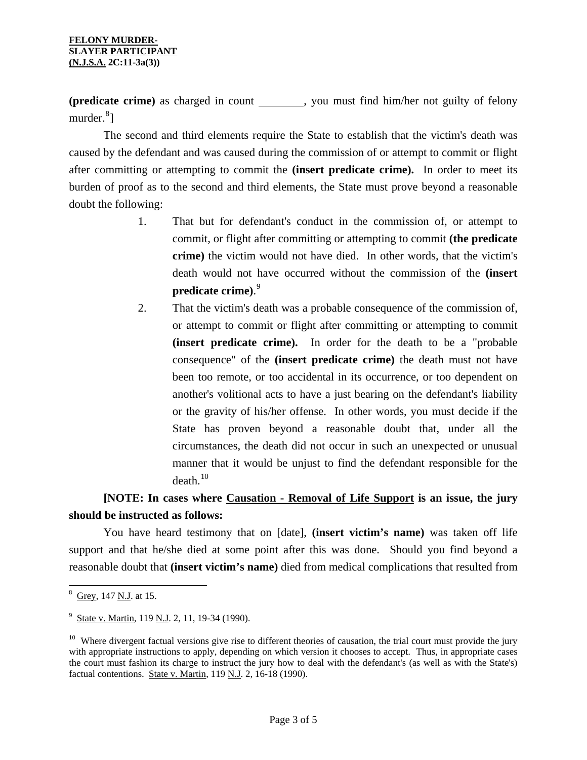**(predicate crime)** as charged in count \_\_\_\_\_\_\_, you must find him/her not guilty of felony murder.<sup>[8](#page-1-2)</sup>]

 The second and third elements require the State to establish that the victim's death was caused by the defendant and was caused during the commission of or attempt to commit or flight after committing or attempting to commit the **(insert predicate crime).** In order to meet its burden of proof as to the second and third elements, the State must prove beyond a reasonable doubt the following:

- 1. That but for defendant's conduct in the commission of, or attempt to commit, or flight after committing or attempting to commit **(the predicate crime)** the victim would not have died. In other words, that the victim's death would not have occurred without the commission of the **(insert predicate crime)**. [9](#page-2-0)
- 2. That the victim's death was a probable consequence of the commission of, or attempt to commit or flight after committing or attempting to commit **(insert predicate crime).** In order for the death to be a "probable consequence" of the **(insert predicate crime)** the death must not have been too remote, or too accidental in its occurrence, or too dependent on another's volitional acts to have a just bearing on the defendant's liability or the gravity of his/her offense. In other words, you must decide if the State has proven beyond a reasonable doubt that, under all the circumstances, the death did not occur in such an unexpected or unusual manner that it would be unjust to find the defendant responsible for the  $death.<sup>10</sup>$  $death.<sup>10</sup>$  $death.<sup>10</sup>$

## **[NOTE: In cases where Causation - Removal of Life Support is an issue, the jury should be instructed as follows:**

 You have heard testimony that on [date], **(insert victim's name)** was taken off life support and that he/she died at some point after this was done. Should you find beyond a reasonable doubt that **(insert victim's name)** died from medical complications that resulted from

l <sup>8</sup> Grey, 147 <u>N.J</u>. at 15.

<span id="page-2-0"></span><sup>&</sup>lt;sup>9</sup> State v. Martin, 119 N.J. 2, 11, 19-34 (1990).

<span id="page-2-1"></span><sup>&</sup>lt;sup>10</sup> Where divergent factual versions give rise to different theories of causation, the trial court must provide the jury with appropriate instructions to apply, depending on which version it chooses to accept. Thus, in appropriate cases the court must fashion its charge to instruct the jury how to deal with the defendant's (as well as with the State's) factual contentions. State v. Martin, 119 N.J. 2, 16-18 (1990).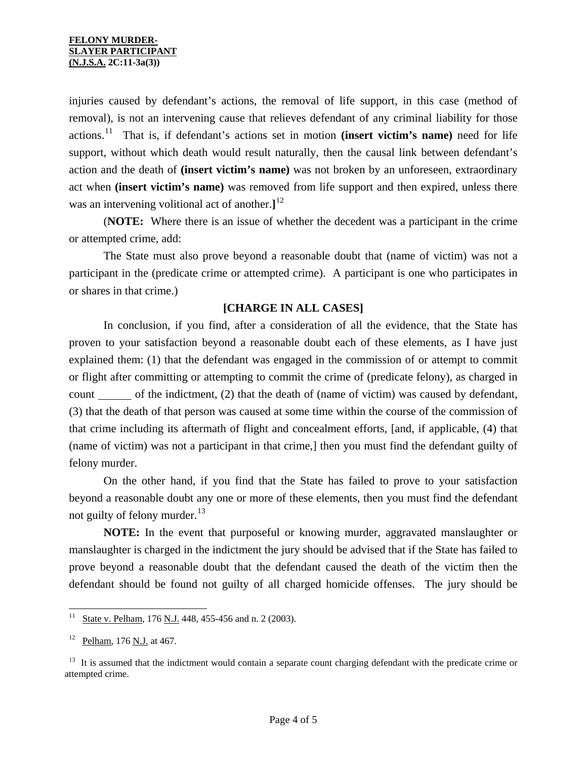injuries caused by defendant's actions, the removal of life support, in this case (method of removal), is not an intervening cause that relieves defendant of any criminal liability for those actions.[11](#page-2-0) That is, if defendant's actions set in motion **(insert victim's name)** need for life support, without which death would result naturally, then the causal link between defendant's action and the death of **(insert victim's name)** was not broken by an unforeseen, extraordinary act when **(insert victim's name)** was removed from life support and then expired, unless there was an intervening volitional act of another.**]** [12](#page-3-0)

 (**NOTE:** Where there is an issue of whether the decedent was a participant in the crime or attempted crime, add:

 The State must also prove beyond a reasonable doubt that (name of victim) was not a participant in the (predicate crime or attempted crime). A participant is one who participates in or shares in that crime.)

## **[CHARGE IN ALL CASES]**

 In conclusion, if you find, after a consideration of all the evidence, that the State has proven to your satisfaction beyond a reasonable doubt each of these elements, as I have just explained them: (1) that the defendant was engaged in the commission of or attempt to commit or flight after committing or attempting to commit the crime of (predicate felony), as charged in count only of the indictment, (2) that the death of (name of victim) was caused by defendant, (3) that the death of that person was caused at some time within the course of the commission of that crime including its aftermath of flight and concealment efforts, [and, if applicable, (4) that (name of victim) was not a participant in that crime,] then you must find the defendant guilty of felony murder.

 On the other hand, if you find that the State has failed to prove to your satisfaction beyond a reasonable doubt any one or more of these elements, then you must find the defendant not guilty of felony murder. $^{13}$  $^{13}$  $^{13}$ 

**NOTE:** In the event that purposeful or knowing murder, aggravated manslaughter or manslaughter is charged in the indictment the jury should be advised that if the State has failed to prove beyond a reasonable doubt that the defendant caused the death of the victim then the defendant should be found not guilty of all charged homicide offenses. The jury should be

 $11$ State v. Pelham, 176 N.J. 448, 455-456 and n. 2 (2003).

 $12$  Pelham, 176 N.J. at 467.

<span id="page-3-1"></span><span id="page-3-0"></span><sup>&</sup>lt;sup>13</sup> It is assumed that the indictment would contain a separate count charging defendant with the predicate crime or attempted crime.